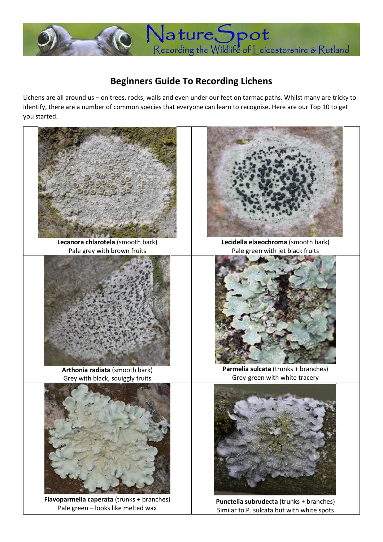

## **Beginners Guide To Recording Lichens**

Lichens are all around us – on trees, rocks, walls and even under our feet on tarmac paths. Whilst many are tricky to identify, there are a number of common species that everyone can learn to recognise. Here are our Top 10 to get you started.



**Lecanora chlarotela** (smooth bark) Pale grey with brown fruits



**Arthonia radiata** (smooth bark) Grey with black, squiggly fruits



**Flavoparmelia caperata** (trunks + branches) Pale green – looks like melted wax



**Lecidella elaeochroma** (smooth bark) Pale green with jet black fruits



**Parmelia sulcata** (trunks + branches) Grey-green with white tracery



**Punctelia subrudecta** (trunks + branches) Similar to P. sulcata but with white spots